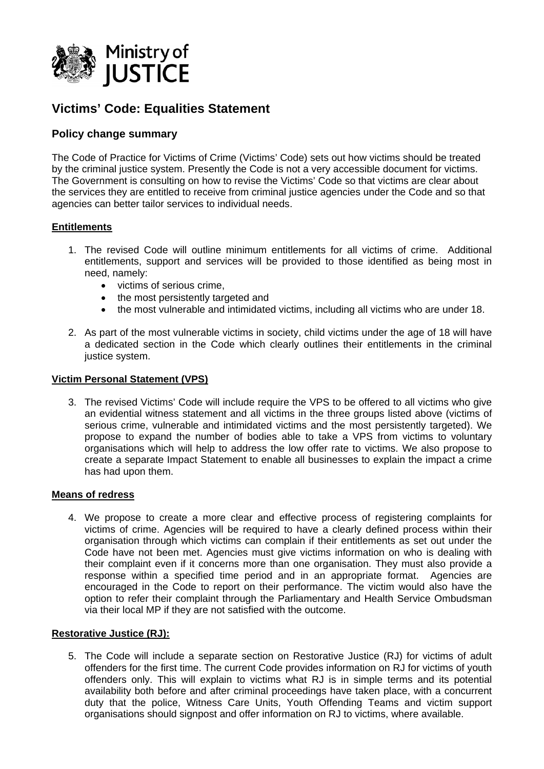

# **Victims' Code: Equalities Statement**

# **Policy change summary**

The Code of Practice for Victims of Crime (Victims' Code) sets out how victims should be treated by the criminal justice system. Presently the Code is not a very accessible document for victims. The Government is consulting on how to revise the Victims' Code so that victims are clear about the services they are entitled to receive from criminal justice agencies under the Code and so that agencies can better tailor services to individual needs.

### **Entitlements**

- 1. The revised Code will outline minimum entitlements for all victims of crime. Additional entitlements, support and services will be provided to those identified as being most in need, namely:
	- victims of serious crime,
	- the most persistently targeted and
	- the most vulnerable and intimidated victims, including all victims who are under 18.
- 2. As part of the most vulnerable victims in society, child victims under the age of 18 will have a dedicated section in the Code which clearly outlines their entitlements in the criminal justice system.

#### **Victim Personal Statement (VPS)**

3. The revised Victims' Code will include require the VPS to be offered to all victims who give an evidential witness statement and all victims in the three groups listed above (victims of serious crime, vulnerable and intimidated victims and the most persistently targeted). We propose to expand the number of bodies able to take a VPS from victims to voluntary organisations which will help to address the low offer rate to victims. We also propose to create a separate Impact Statement to enable all businesses to explain the impact a crime has had upon them.

#### **Means of redress**

4. We propose to create a more clear and effective process of registering complaints for victims of crime. Agencies will be required to have a clearly defined process within their organisation through which victims can complain if their entitlements as set out under the Code have not been met. Agencies must give victims information on who is dealing with their complaint even if it concerns more than one organisation. They must also provide a response within a specified time period and in an appropriate format. Agencies are encouraged in the Code to report on their performance. The victim would also have the option to refer their complaint through the Parliamentary and Health Service Ombudsman via their local MP if they are not satisfied with the outcome.

#### **Restorative Justice (RJ):**

5. The Code will include a separate section on Restorative Justice (RJ) for victims of adult offenders for the first time. The current Code provides information on RJ for victims of youth offenders only. This will explain to victims what RJ is in simple terms and its potential availability both before and after criminal proceedings have taken place, with a concurrent duty that the police, Witness Care Units, Youth Offending Teams and victim support organisations should signpost and offer information on RJ to victims, where available.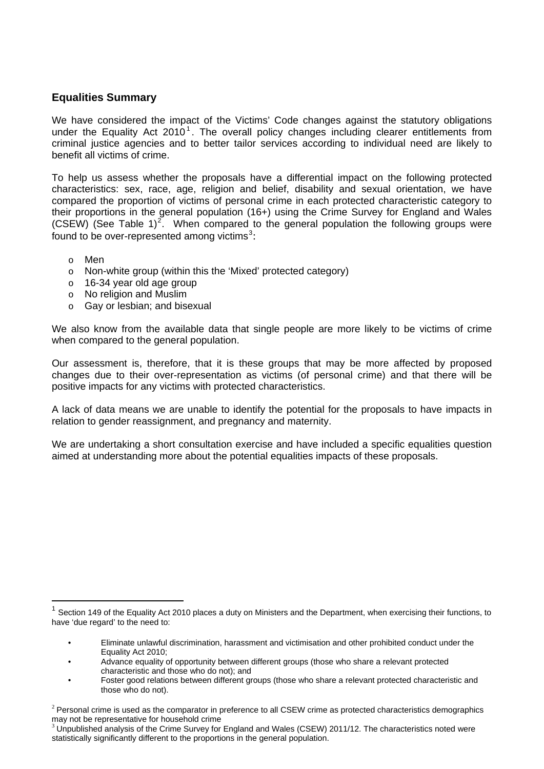## **Equalities Summary**

We have considered the impact of the Victims' Code changes against the statutory obligations under the Equality Act  $2010<sup>1</sup>$  $2010<sup>1</sup>$  $2010<sup>1</sup>$ . The overall policy changes including clearer entitlements from criminal justice agencies and to better tailor services according to individual need are likely to benefit all victims of crime.

To help us assess whether the proposals have a differential impact on the following protected characteristics: sex, race, age, religion and belief, disability and sexual orientation, we have compared the proportion of victims of personal crime in each protected characteristic category to their proportions in the general population (16+) using the Crime Survey for England and Wales (CSEW) (See Table 1)<sup>[2](#page-1-1)</sup>. When compared to the general population the following groups were found to be over-represented among victims<sup>[3](#page-1-2)</sup>:

o Men

 $\overline{a}$ 

- o Non-white group (within this the 'Mixed' protected category)
- o 16-34 year old age group
- o No religion and Muslim
- o Gay or lesbian; and bisexual

We also know from the available data that single people are more likely to be victims of crime when compared to the general population.

Our assessment is, therefore, that it is these groups that may be more affected by proposed changes due to their over-representation as victims (of personal crime) and that there will be positive impacts for any victims with protected characteristics.

A lack of data means we are unable to identify the potential for the proposals to have impacts in relation to gender reassignment, and pregnancy and maternity.

We are undertaking a short consultation exercise and have included a specific equalities question aimed at understanding more about the potential equalities impacts of these proposals.

<span id="page-1-0"></span>Section 149 of the Equality Act 2010 places a duty on Ministers and the Department, when exercising their functions, to have 'due regard' to the need to:

<sup>•</sup> Eliminate unlawful discrimination, harassment and victimisation and other prohibited conduct under the Equality Act 2010;

<sup>•</sup> Advance equality of opportunity between different groups (those who share a relevant protected characteristic and those who do not); and

<sup>•</sup> Foster good relations between different groups (those who share a relevant protected characteristic and those who do not).

<span id="page-1-1"></span> $2$  Personal crime is used as the comparator in preference to all CSEW crime as protected characteristics demographics may not be representative for household crime

<span id="page-1-2"></span><sup>3</sup> Unpublished analysis of the Crime Survey for England and Wales (CSEW) 2011/12. The characteristics noted were statistically significantly different to the proportions in the general population.